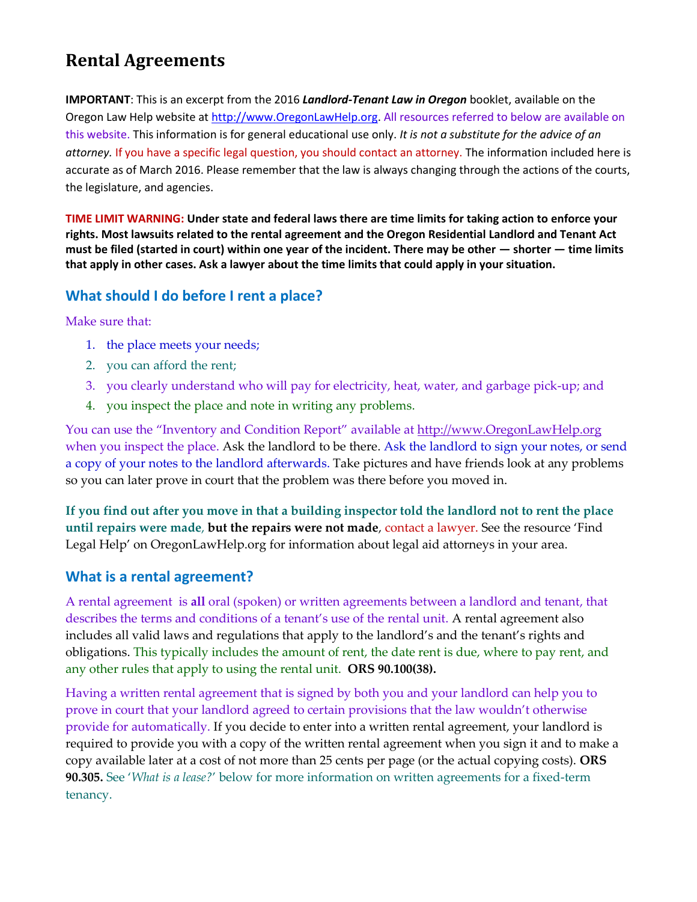# **Rental Agreements**

**IMPORTANT**: This is an excerpt from the 2016 *Landlord-Tenant Law in Oregon* booklet, available on the Oregon Law Help website at [http://www.OregonLawHelp.org.](http://www.oregonlawhelp.org/) All resources referred to below are available on this website. This information is for general educational use only. *It is not a substitute for the advice of an attorney.* If you have a specific legal question, you should contact an attorney. The information included here is accurate as of March 2016. Please remember that the law is always changing through the actions of the courts, the legislature, and agencies.

**TIME LIMIT WARNING: Under state and federal laws there are time limits for taking action to enforce your rights. Most lawsuits related to the rental agreement and the Oregon Residential Landlord and Tenant Act must be filed (started in court) within one year of the incident. There may be other — shorter — time limits that apply in other cases. Ask a lawyer about the time limits that could apply in your situation.** 

### **What should I do before I rent a place?**

Make sure that:

- 1. the place meets your needs;
- 2. you can afford the rent;
- 3. you clearly understand who will pay for electricity, heat, water, and garbage pick-up; and
- 4. you inspect the place and note in writing any problems.

You can use the "Inventory and Condition Report" available at [http://www.OregonLawHelp.org](http://www.oregonlawhelp.org/) when you inspect the place. Ask the landlord to be there. Ask the landlord to sign your notes, or send a copy of your notes to the landlord afterwards. Take pictures and have friends look at any problems so you can later prove in court that the problem was there before you moved in.

**If you find out after you move in that a building inspector told the landlord not to rent the place until repairs were made**, **but the repairs were not made**, contact a lawyer. See the resource 'Find Legal Help' on OregonLawHelp.org for information about legal aid attorneys in your area.

#### **What is a rental agreement?**

A rental agreement is **all** oral (spoken) or written agreements between a landlord and tenant, that describes the terms and conditions of a tenant's use of the rental unit. A rental agreement also includes all valid laws and regulations that apply to the landlord's and the tenant's rights and obligations. This typically includes the amount of rent, the date rent is due, where to pay rent, and any other rules that apply to using the rental unit. **ORS 90.100(38).**

Having a written rental agreement that is signed by both you and your landlord can help you to prove in court that your landlord agreed to certain provisions that the law wouldn't otherwise provide for automatically. If you decide to enter into a written rental agreement, your landlord is required to provide you with a copy of the written rental agreement when you sign it and to make a copy available later at a cost of not more than 25 cents per page (or the actual copying costs). **ORS 90.305.** See '*What is a lease?*' below for more information on written agreements for a fixed-term tenancy.